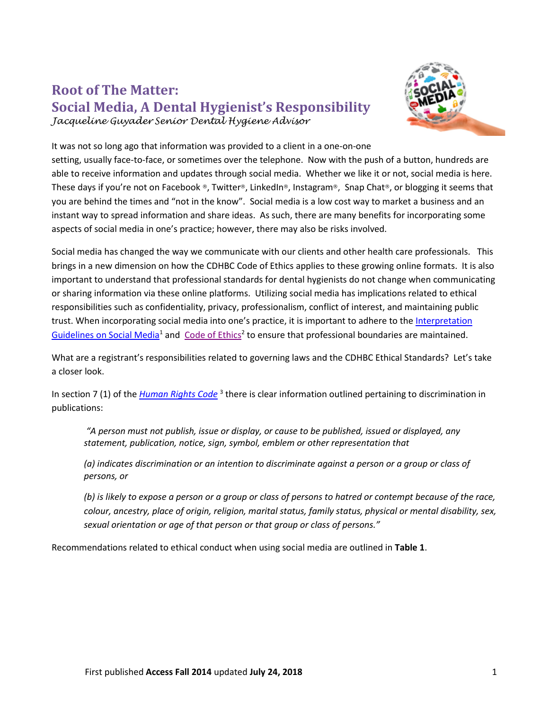## **Root of The Matter: Social Media, A Dental Hygienist's Responsibility**

*Jacqueline Guyader Senior Dental Hygiene Advisor*



It was not so long ago that information was provided to a client in a one-on-one setting, usually face-to-face, or sometimes over the telephone. Now with the push of a button, hundreds are able to receive information and updates through social media. Whether we like it or not, social media is here. These days if you're not on Facebook ®, Twitter®, LinkedIn®, Instagram®, Snap Chat ®, or blogging it seems that you are behind the times and "not in the know". Social media is a low cost way to market a business and an instant way to spread information and share ideas. As such, there are many benefits for incorporating some aspects of social media in one's practice; however, there may also be risks involved.

Social media has changed the way we communicate with our clients and other health care professionals. This brings in a new dimension on how the CDHBC Code of Ethics applies to these growing online formats. It is also important to understand that professional standards for dental hygienists do not change when communicating or sharing information via these online platforms. Utilizing social media has implications related to ethical responsibilities such as confidentiality, privacy, professionalism, conflict of interest, and maintaining public trust. When incorporating social media into one's practice, it is important to adhere to th[e Interpretation](http://www.cdhbc.com/Practice-Resources/Interpretation-Guidelines/Social-Media.aspx) Guidelines on Social Media<sup>1</sup> and [Code of Ethics](http://www.cdhbc.com/Practice-Resources/Code-of-Ethics.aspx)<sup>2</sup> to ensure that professional boundaries are maintained.

What are a registrant's responsibilities related to governing laws and the CDHBC Ethical Standards? Let's take a closer look.

In section 7 (1) of the *[Human Rights Code](http://www.bclaws.ca/Recon/document/ID/freeside/00_96210_01#section2)*<sup>3</sup> there is clear information outlined pertaining to discrimination in publications:

*"A person must not publish, issue or display, or cause to be published, issued or displayed, any statement, publication, notice, sign, symbol, emblem or other representation that*

*(a) indicates discrimination or an intention to discriminate against a person or a group or class of persons, or*

*(b) is likely to expose a person or a group or class of persons to hatred or contempt because of the race, colour, ancestry, place of origin, religion, marital status, family status, physical or mental disability, sex, sexual orientation or age of that person or that group or class of persons."*

Recommendations related to ethical conduct when using social media are outlined in **Table 1**.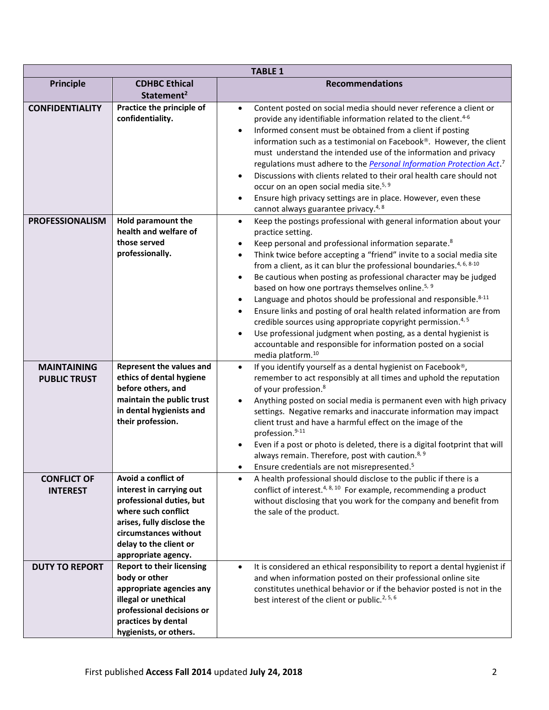| <b>TABLE 1</b>                                                                     |                                                                                                                                                                                                                                                                                                                                                 |                                                                                                                                                                                                                                                                                                                                                                                                                                                                                                                                                                                                                                                                                                                                                                                                                                                                                                                                                                                                                                                                                                                                                                                                                                                                                                                                                                                                                                                                                                                                                                                                                                                                                 |
|------------------------------------------------------------------------------------|-------------------------------------------------------------------------------------------------------------------------------------------------------------------------------------------------------------------------------------------------------------------------------------------------------------------------------------------------|---------------------------------------------------------------------------------------------------------------------------------------------------------------------------------------------------------------------------------------------------------------------------------------------------------------------------------------------------------------------------------------------------------------------------------------------------------------------------------------------------------------------------------------------------------------------------------------------------------------------------------------------------------------------------------------------------------------------------------------------------------------------------------------------------------------------------------------------------------------------------------------------------------------------------------------------------------------------------------------------------------------------------------------------------------------------------------------------------------------------------------------------------------------------------------------------------------------------------------------------------------------------------------------------------------------------------------------------------------------------------------------------------------------------------------------------------------------------------------------------------------------------------------------------------------------------------------------------------------------------------------------------------------------------------------|
| <b>Principle</b>                                                                   | <b>CDHBC Ethical</b>                                                                                                                                                                                                                                                                                                                            | <b>Recommendations</b>                                                                                                                                                                                                                                                                                                                                                                                                                                                                                                                                                                                                                                                                                                                                                                                                                                                                                                                                                                                                                                                                                                                                                                                                                                                                                                                                                                                                                                                                                                                                                                                                                                                          |
|                                                                                    | Statement <sup>2</sup>                                                                                                                                                                                                                                                                                                                          |                                                                                                                                                                                                                                                                                                                                                                                                                                                                                                                                                                                                                                                                                                                                                                                                                                                                                                                                                                                                                                                                                                                                                                                                                                                                                                                                                                                                                                                                                                                                                                                                                                                                                 |
| <b>CONFIDENTIALITY</b><br><b>PROFESSIONALISM</b>                                   | Practice the principle of<br>confidentiality.<br>Hold paramount the<br>health and welfare of<br>those served<br>professionally.                                                                                                                                                                                                                 | Content posted on social media should never reference a client or<br>$\bullet$<br>provide any identifiable information related to the client. <sup>4-6</sup><br>Informed consent must be obtained from a client if posting<br>information such as a testimonial on Facebook®. However, the client<br>must understand the intended use of the information and privacy<br>regulations must adhere to the <i>Personal Information Protection Act</i> . <sup>7</sup><br>Discussions with clients related to their oral health care should not<br>$\bullet$<br>occur on an open social media site. <sup>5, 9</sup><br>Ensure high privacy settings are in place. However, even these<br>$\bullet$<br>cannot always guarantee privacy. <sup>4, 8</sup><br>Keep the postings professional with general information about your<br>$\bullet$<br>practice setting.<br>Keep personal and professional information separate. <sup>8</sup><br>Think twice before accepting a "friend" invite to a social media site<br>from a client, as it can blur the professional boundaries. <sup>4, 6, 8-10</sup><br>Be cautious when posting as professional character may be judged<br>$\bullet$<br>based on how one portrays themselves online. <sup>5, 9</sup><br>Language and photos should be professional and responsible. <sup>8-11</sup><br>$\bullet$<br>Ensure links and posting of oral health related information are from<br>credible sources using appropriate copyright permission. <sup>4, 5</sup><br>Use professional judgment when posting, as a dental hygienist is<br>$\bullet$<br>accountable and responsible for information posted on a social<br>media platform. <sup>10</sup> |
| <b>MAINTAINING</b><br><b>PUBLIC TRUST</b><br><b>CONFLICT OF</b><br><b>INTEREST</b> | Represent the values and<br>ethics of dental hygiene<br>before others, and<br>maintain the public trust<br>in dental hygienists and<br>their profession.<br>Avoid a conflict of<br>interest in carrying out<br>professional duties, but<br>where such conflict<br>arises, fully disclose the<br>circumstances without<br>delay to the client or | If you identify yourself as a dental hygienist on Facebook®,<br>$\bullet$<br>remember to act responsibly at all times and uphold the reputation<br>of your profession. <sup>8</sup><br>Anything posted on social media is permanent even with high privacy<br>settings. Negative remarks and inaccurate information may impact<br>client trust and have a harmful effect on the image of the<br>profession. <sup>9-11</sup><br>Even if a post or photo is deleted, there is a digital footprint that will<br>always remain. Therefore, post with caution. <sup>8, 9</sup><br>Ensure credentials are not misrepresented. <sup>5</sup><br>A health professional should disclose to the public if there is a<br>$\bullet$<br>conflict of interest. <sup>4, 8, 10</sup> For example, recommending a product<br>without disclosing that you work for the company and benefit from<br>the sale of the product.                                                                                                                                                                                                                                                                                                                                                                                                                                                                                                                                                                                                                                                                                                                                                                        |
| <b>DUTY TO REPORT</b>                                                              | appropriate agency.<br><b>Report to their licensing</b><br>body or other<br>appropriate agencies any<br>illegal or unethical<br>professional decisions or<br>practices by dental<br>hygienists, or others.                                                                                                                                      | It is considered an ethical responsibility to report a dental hygienist if<br>$\bullet$<br>and when information posted on their professional online site<br>constitutes unethical behavior or if the behavior posted is not in the<br>best interest of the client or public. <sup>2, 5, 6</sup>                                                                                                                                                                                                                                                                                                                                                                                                                                                                                                                                                                                                                                                                                                                                                                                                                                                                                                                                                                                                                                                                                                                                                                                                                                                                                                                                                                                 |